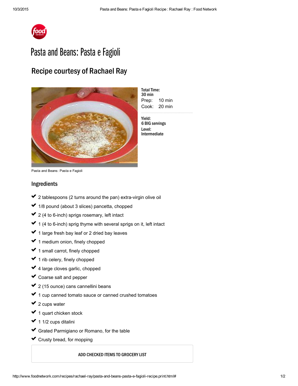

## Pasta and Beans: Pasta e Fagioli

## Recipe courtesy of Rachael Ray



Prep: 10 min Cook: 20 min **Total Time:** 30 min

Yield: 6 BIG servings Level: Intermediate

Pasta and Beans: Pasta e Fagioli

## Ingredients

- 2 tablespoons (2 turns around the pan) extra-virgin olive oil usik<br>Sala ✔ 2 ✓
- 1/8 pound (about 3 slices) pancetta, chopped ✔ 1  $\mathcal{L}^{\mathcal{L}}$
- 2 (4 to 6-inch) sprigs rosemary, left intact ✔ 2 ✓
- 1 (4 to 6-inch) sprig thyme with several sprigs on it, left intact ✓  $\mathcal{L}^{\mathcal{L}}$
- 1 large fresh bay leaf or 2 dried bay [leaves](http://www.foodterms.com/encyclopedia/bay-leaf/index.html) ✔ 1  $\mathcal{L}^{\mathcal{L}}$
- 1 medium onion, finely chopped ✓ ✓
- 1 small carrot, finely chopped ✓  $\mathcal{L}^{\mathcal{L}}$
- 1 rib celery, finely chopped ✔ 1  $\mathcal{L}^{\mathcal{L}}$
- 4 large [cloves](http://www.foodterms.com/encyclopedia/garlic/index.html) garlic, chopped ✓ ✓
- Coarse salt and pepper ✓ ✓
- 2 (15 ounce) cans [cannellini](http://www.foodterms.com/encyclopedia/cannellini-bean/index.html) beans ✔ 2  $\mathcal{L}^{\mathcal{L}}$
- 1 cup canned tomato sauce or canned crushed tomatoes ✓ ✓
- 2 cups water ✔ 2  $\mathcal{L}^{\mathcal{L}}$
- 1 quart [chicken](http://www.foodterms.com/encyclopedia/stock/index.html) stock ✔ 1 usika<br>∪a
- 1 1/2 cups ditalini ✓ ✓
- Grated Parmigiano or Romano, for the table ✓ ✓
- Crusty bread, for mopping ✓

ADD CHECKED ITEMS TO GROCERY LIST